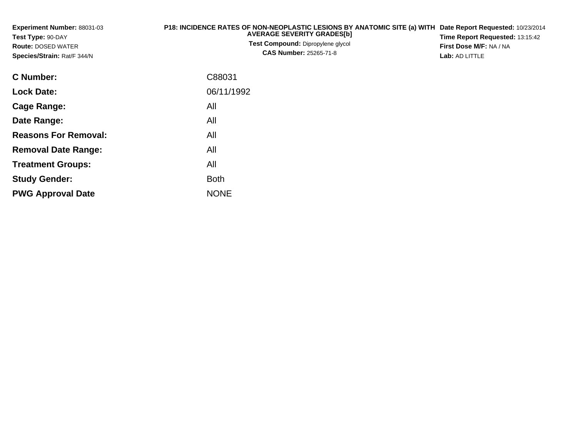| Experiment Number: 88031-03<br>Test Type: 90-DAY<br><b>Route: DOSED WATER</b><br>Species/Strain: Rat/F 344/N | P18: INCIDENCE RATES OF NON-NEOPLASTIC LESIONS BY ANATOMIC SITE (a) WITH<br><b>AVERAGE SEVERITY GRADES[b]</b><br>Test Compound: Dipropylene glycol<br><b>CAS Number: 25265-71-8</b> | Date Report Requested: 10/23/2014<br>Time Report Requested: 13:15:42<br>First Dose M/F: NA / NA<br>Lab: AD LITTLE |
|--------------------------------------------------------------------------------------------------------------|-------------------------------------------------------------------------------------------------------------------------------------------------------------------------------------|-------------------------------------------------------------------------------------------------------------------|
| C Number:                                                                                                    | C88031                                                                                                                                                                              |                                                                                                                   |
| <b>Lock Date:</b>                                                                                            | 06/11/1992                                                                                                                                                                          |                                                                                                                   |
| <b>Cage Range:</b>                                                                                           | All                                                                                                                                                                                 |                                                                                                                   |
| Date Range:                                                                                                  | All                                                                                                                                                                                 |                                                                                                                   |
| <b>Reasons For Removal:</b>                                                                                  | All                                                                                                                                                                                 |                                                                                                                   |
| <b>Removal Date Range:</b>                                                                                   | All                                                                                                                                                                                 |                                                                                                                   |
| <b>Treatment Groups:</b>                                                                                     | All                                                                                                                                                                                 |                                                                                                                   |
| <b>Study Gender:</b>                                                                                         | <b>Both</b>                                                                                                                                                                         |                                                                                                                   |

e NONE

**PWG Approval Date**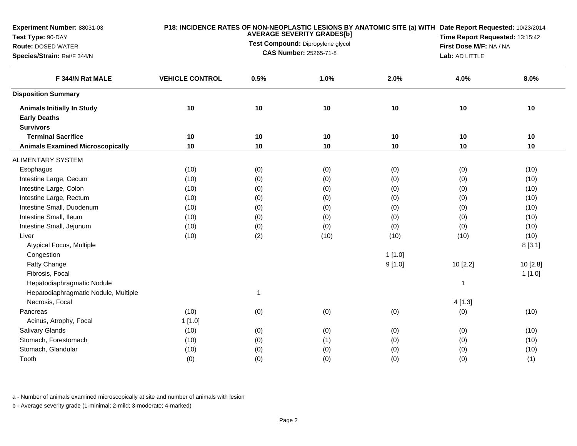| Experiment Number: 88031-03                              |                        | P18: INCIDENCE RATES OF NON-NEOPLASTIC LESIONS BY ANATOMIC SITE (a) WITH Date Report Requested: 10/23/2014<br><b>AVERAGE SEVERITY GRADES[b]</b> |                                   |        |          |                                                                              |  |  |
|----------------------------------------------------------|------------------------|-------------------------------------------------------------------------------------------------------------------------------------------------|-----------------------------------|--------|----------|------------------------------------------------------------------------------|--|--|
| Test Type: 90-DAY                                        |                        |                                                                                                                                                 | Test Compound: Dipropylene glycol |        |          | Time Report Requested: 13:15:42<br>First Dose M/F: NA / NA<br>Lab: AD LITTLE |  |  |
| <b>Route: DOSED WATER</b><br>Species/Strain: Rat/F 344/N | CAS Number: 25265-71-8 |                                                                                                                                                 |                                   |        |          |                                                                              |  |  |
|                                                          |                        |                                                                                                                                                 |                                   |        |          |                                                                              |  |  |
| F 344/N Rat MALE                                         | <b>VEHICLE CONTROL</b> | 0.5%                                                                                                                                            | 1.0%                              | 2.0%   | 4.0%     | 8.0%                                                                         |  |  |
| <b>Disposition Summary</b>                               |                        |                                                                                                                                                 |                                   |        |          |                                                                              |  |  |
| <b>Animals Initially In Study</b>                        | 10                     | 10                                                                                                                                              | 10                                | 10     | 10       | 10                                                                           |  |  |
| <b>Early Deaths</b>                                      |                        |                                                                                                                                                 |                                   |        |          |                                                                              |  |  |
| <b>Survivors</b>                                         |                        |                                                                                                                                                 |                                   |        |          |                                                                              |  |  |
| <b>Terminal Sacrifice</b>                                | 10                     | 10                                                                                                                                              | 10                                | 10     | 10       | 10                                                                           |  |  |
| <b>Animals Examined Microscopically</b>                  | 10                     | 10                                                                                                                                              | 10                                | 10     | 10       | 10                                                                           |  |  |
| <b>ALIMENTARY SYSTEM</b>                                 |                        |                                                                                                                                                 |                                   |        |          |                                                                              |  |  |
| Esophagus                                                | (10)                   | (0)                                                                                                                                             | (0)                               | (0)    | (0)      | (10)                                                                         |  |  |
| Intestine Large, Cecum                                   | (10)                   | (0)                                                                                                                                             | (0)                               | (0)    | (0)      | (10)                                                                         |  |  |
| Intestine Large, Colon                                   | (10)                   | (0)                                                                                                                                             | (0)                               | (0)    | (0)      | (10)                                                                         |  |  |
| Intestine Large, Rectum                                  | (10)                   | (0)                                                                                                                                             | (0)                               | (0)    | (0)      | (10)                                                                         |  |  |
| Intestine Small, Duodenum                                | (10)                   | (0)                                                                                                                                             | (0)                               | (0)    | (0)      | (10)                                                                         |  |  |
| Intestine Small, Ileum                                   | (10)                   | (0)                                                                                                                                             | (0)                               | (0)    | (0)      | (10)                                                                         |  |  |
| Intestine Small, Jejunum                                 | (10)                   | (0)                                                                                                                                             | (0)                               | (0)    | (0)      | (10)                                                                         |  |  |
| Liver                                                    | (10)                   | (2)                                                                                                                                             | (10)                              | (10)   | (10)     | (10)                                                                         |  |  |
| Atypical Focus, Multiple                                 |                        |                                                                                                                                                 |                                   |        |          | 8[3.1]                                                                       |  |  |
| Congestion                                               |                        |                                                                                                                                                 |                                   | 1[1.0] |          |                                                                              |  |  |
| Fatty Change                                             |                        |                                                                                                                                                 |                                   | 9[1.0] | 10 [2.2] | 10[2.8]                                                                      |  |  |
| Fibrosis, Focal                                          |                        |                                                                                                                                                 |                                   |        |          | 1[1.0]                                                                       |  |  |
| Hepatodiaphragmatic Nodule                               |                        |                                                                                                                                                 |                                   |        | 1        |                                                                              |  |  |
| Hepatodiaphragmatic Nodule, Multiple                     |                        | $\mathbf{1}$                                                                                                                                    |                                   |        |          |                                                                              |  |  |
| Necrosis, Focal                                          |                        |                                                                                                                                                 |                                   |        | 4[1.3]   |                                                                              |  |  |
| Pancreas                                                 | (10)                   | (0)                                                                                                                                             | (0)                               | (0)    | (0)      | (10)                                                                         |  |  |
| Acinus, Atrophy, Focal                                   | 1[1.0]                 |                                                                                                                                                 |                                   |        |          |                                                                              |  |  |
| <b>Salivary Glands</b>                                   | (10)                   | (0)                                                                                                                                             | (0)                               | (0)    | (0)      | (10)                                                                         |  |  |
| Stomach, Forestomach                                     | (10)                   | (0)                                                                                                                                             | (1)                               | (0)    | (0)      | (10)                                                                         |  |  |
| Stomach, Glandular                                       | (10)                   | (0)                                                                                                                                             | (0)                               | (0)    | (0)      | (10)                                                                         |  |  |
| Tooth                                                    | (0)                    | (0)                                                                                                                                             | (0)                               | (0)    | (0)      | (1)                                                                          |  |  |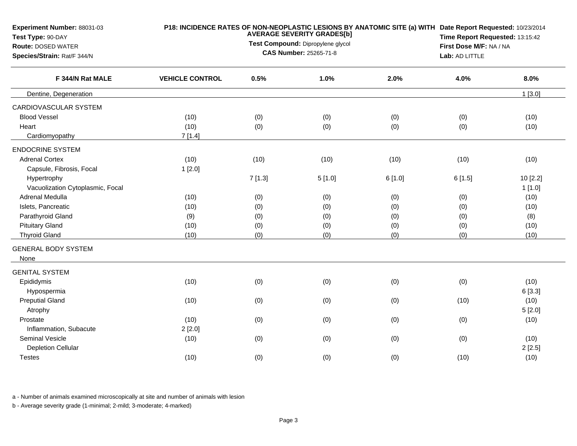| Experiment Number: 88031-03<br>Test Type: 90-DAY         |                        |                               | <b>AVERAGE SEVERITY GRADES[b]</b><br>Test Compound: Dipropylene glycol |        | P18: INCIDENCE RATES OF NON-NEOPLASTIC LESIONS BY ANATOMIC SITE (a) WITH Date Report Requested: 10/23/2014<br>Time Report Requested: 13:15:42 |           |  |  |
|----------------------------------------------------------|------------------------|-------------------------------|------------------------------------------------------------------------|--------|-----------------------------------------------------------------------------------------------------------------------------------------------|-----------|--|--|
| <b>Route: DOSED WATER</b><br>Species/Strain: Rat/F 344/N |                        | <b>CAS Number: 25265-71-8</b> | First Dose M/F: NA / NA<br>Lab: AD LITTLE                              |        |                                                                                                                                               |           |  |  |
| F 344/N Rat MALE                                         | <b>VEHICLE CONTROL</b> | 0.5%                          | 1.0%                                                                   | 2.0%   | 4.0%                                                                                                                                          | 8.0%      |  |  |
| Dentine, Degeneration                                    |                        |                               |                                                                        |        |                                                                                                                                               | $1$ [3.0] |  |  |
| CARDIOVASCULAR SYSTEM                                    |                        |                               |                                                                        |        |                                                                                                                                               |           |  |  |
| <b>Blood Vessel</b>                                      | (10)                   | (0)                           | (0)                                                                    | (0)    | (0)                                                                                                                                           | (10)      |  |  |
| Heart                                                    | (10)                   | (0)                           | (0)                                                                    | (0)    | (0)                                                                                                                                           | (10)      |  |  |
| Cardiomyopathy                                           | 7[1.4]                 |                               |                                                                        |        |                                                                                                                                               |           |  |  |
| <b>ENDOCRINE SYSTEM</b>                                  |                        |                               |                                                                        |        |                                                                                                                                               |           |  |  |
| <b>Adrenal Cortex</b>                                    | (10)                   | (10)                          | (10)                                                                   | (10)   | (10)                                                                                                                                          | (10)      |  |  |
| Capsule, Fibrosis, Focal                                 | 1[2.0]                 |                               |                                                                        |        |                                                                                                                                               |           |  |  |
| Hypertrophy                                              |                        | 7[1.3]                        | 5[1.0]                                                                 | 6[1.0] | 6[1.5]                                                                                                                                        | 10 [2.2]  |  |  |
| Vacuolization Cytoplasmic, Focal                         |                        |                               |                                                                        |        |                                                                                                                                               | 1[1.0]    |  |  |
| Adrenal Medulla                                          | (10)                   | (0)                           | (0)                                                                    | (0)    | (0)                                                                                                                                           | (10)      |  |  |
| Islets, Pancreatic                                       | (10)                   | (0)                           | (0)                                                                    | (0)    | (0)                                                                                                                                           | (10)      |  |  |
| Parathyroid Gland                                        | (9)                    | (0)                           | (0)                                                                    | (0)    | (0)                                                                                                                                           | (8)       |  |  |
| <b>Pituitary Gland</b>                                   | (10)                   | (0)                           | (0)                                                                    | (0)    | (0)                                                                                                                                           | (10)      |  |  |
| <b>Thyroid Gland</b>                                     | (10)                   | (0)                           | (0)                                                                    | (0)    | (0)                                                                                                                                           | (10)      |  |  |
| <b>GENERAL BODY SYSTEM</b><br>None                       |                        |                               |                                                                        |        |                                                                                                                                               |           |  |  |
| <b>GENITAL SYSTEM</b>                                    |                        |                               |                                                                        |        |                                                                                                                                               |           |  |  |
| Epididymis                                               | (10)                   | (0)                           | (0)                                                                    | (0)    | (0)                                                                                                                                           | (10)      |  |  |
| Hypospermia                                              |                        |                               |                                                                        |        |                                                                                                                                               | 6[3.3]    |  |  |
| <b>Preputial Gland</b>                                   | (10)                   | (0)                           | (0)                                                                    | (0)    | (10)                                                                                                                                          | (10)      |  |  |
| Atrophy                                                  |                        |                               |                                                                        |        |                                                                                                                                               | 5[2.0]    |  |  |
| Prostate                                                 | (10)                   | (0)                           | (0)                                                                    | (0)    | (0)                                                                                                                                           | (10)      |  |  |
| Inflammation, Subacute                                   | 2[2.0]                 |                               |                                                                        |        |                                                                                                                                               |           |  |  |
| <b>Seminal Vesicle</b>                                   | (10)                   | (0)                           | (0)                                                                    | (0)    | (0)                                                                                                                                           | (10)      |  |  |
| <b>Depletion Cellular</b>                                |                        |                               |                                                                        |        |                                                                                                                                               | 2[2.5]    |  |  |
| <b>Testes</b>                                            | (10)                   | (0)                           | (0)                                                                    | (0)    | (10)                                                                                                                                          | (10)      |  |  |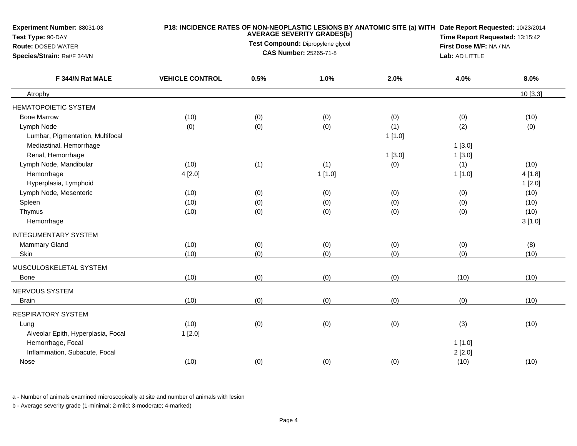| <b>Experiment Number: 88031-03</b><br>Test Type: 90-DAY<br><b>Route: DOSED WATER</b><br>Species/Strain: Rat/F 344/N |                        |      | <b>AVERAGE SEVERITY GRADES[b]</b><br>Test Compound: Dipropylene glycol<br><b>CAS Number: 25265-71-8</b> | P18: INCIDENCE RATES OF NON-NEOPLASTIC LESIONS BY ANATOMIC SITE (a) WITH Date Report Requested: 10/23/2014 | Time Report Requested: 13:15:42<br>First Dose M/F: NA / NA<br>Lab: AD LITTLE |         |
|---------------------------------------------------------------------------------------------------------------------|------------------------|------|---------------------------------------------------------------------------------------------------------|------------------------------------------------------------------------------------------------------------|------------------------------------------------------------------------------|---------|
| F 344/N Rat MALE                                                                                                    | <b>VEHICLE CONTROL</b> | 0.5% | 1.0%                                                                                                    | 2.0%                                                                                                       | 4.0%                                                                         | 8.0%    |
| Atrophy                                                                                                             |                        |      |                                                                                                         |                                                                                                            |                                                                              | 10[3.3] |
| HEMATOPOIETIC SYSTEM                                                                                                |                        |      |                                                                                                         |                                                                                                            |                                                                              |         |
| <b>Bone Marrow</b>                                                                                                  | (10)                   | (0)  | (0)                                                                                                     | (0)                                                                                                        | (0)                                                                          | (10)    |
| Lymph Node                                                                                                          | (0)                    | (0)  | (0)                                                                                                     | (1)                                                                                                        | (2)                                                                          | (0)     |
| Lumbar, Pigmentation, Multifocal                                                                                    |                        |      |                                                                                                         | 1[1.0]                                                                                                     |                                                                              |         |
| Mediastinal, Hemorrhage                                                                                             |                        |      |                                                                                                         |                                                                                                            | 1[3.0]                                                                       |         |
| Renal, Hemorrhage                                                                                                   |                        |      |                                                                                                         | 1[3.0]                                                                                                     | 1[3.0]                                                                       |         |
| Lymph Node, Mandibular                                                                                              | (10)                   | (1)  | (1)                                                                                                     | (0)                                                                                                        | (1)                                                                          | (10)    |
| Hemorrhage                                                                                                          | 4[2.0]                 |      | 1[1.0]                                                                                                  |                                                                                                            | 1[1.0]                                                                       | 4[1.8]  |
| Hyperplasia, Lymphoid                                                                                               |                        |      |                                                                                                         |                                                                                                            |                                                                              | 1[2.0]  |
| Lymph Node, Mesenteric                                                                                              | (10)                   | (0)  | (0)                                                                                                     | (0)                                                                                                        | (0)                                                                          | (10)    |
| Spleen                                                                                                              | (10)                   | (0)  | (0)                                                                                                     | (0)                                                                                                        | (0)                                                                          | (10)    |
| Thymus                                                                                                              | (10)                   | (0)  | (0)                                                                                                     | (0)                                                                                                        | (0)                                                                          | (10)    |
| Hemorrhage                                                                                                          |                        |      |                                                                                                         |                                                                                                            |                                                                              | 3[1.0]  |
| <b>INTEGUMENTARY SYSTEM</b>                                                                                         |                        |      |                                                                                                         |                                                                                                            |                                                                              |         |
| <b>Mammary Gland</b>                                                                                                | (10)                   | (0)  | (0)                                                                                                     | (0)                                                                                                        | (0)                                                                          | (8)     |
| Skin                                                                                                                | (10)                   | (0)  | (0)                                                                                                     | (0)                                                                                                        | (0)                                                                          | (10)    |
| MUSCULOSKELETAL SYSTEM                                                                                              |                        |      |                                                                                                         |                                                                                                            |                                                                              |         |
| Bone                                                                                                                | (10)                   | (0)  | (0)                                                                                                     | (0)                                                                                                        | (10)                                                                         | (10)    |
| NERVOUS SYSTEM                                                                                                      |                        |      |                                                                                                         |                                                                                                            |                                                                              |         |
| <b>Brain</b>                                                                                                        | (10)                   | (0)  | (0)                                                                                                     | (0)                                                                                                        | (0)                                                                          | (10)    |
| <b>RESPIRATORY SYSTEM</b>                                                                                           |                        |      |                                                                                                         |                                                                                                            |                                                                              |         |
| Lung                                                                                                                | (10)                   | (0)  | (0)                                                                                                     | (0)                                                                                                        | (3)                                                                          | (10)    |
| Alveolar Epith, Hyperplasia, Focal                                                                                  | 1[2.0]                 |      |                                                                                                         |                                                                                                            |                                                                              |         |
| Hemorrhage, Focal                                                                                                   |                        |      |                                                                                                         |                                                                                                            | 1[1.0]                                                                       |         |
| Inflammation, Subacute, Focal                                                                                       |                        |      |                                                                                                         |                                                                                                            | 2[2.0]                                                                       |         |
| Nose                                                                                                                | (10)                   | (0)  | (0)                                                                                                     | (0)                                                                                                        | (10)                                                                         | (10)    |
|                                                                                                                     |                        |      |                                                                                                         |                                                                                                            |                                                                              |         |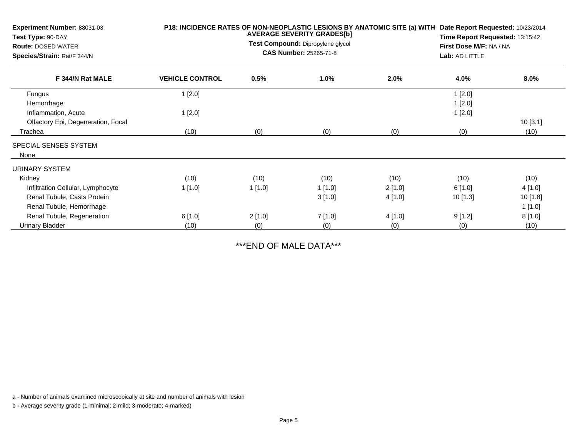| Experiment Number: 88031-03<br>Test Type: 90-DAY<br><b>Route: DOSED WATER</b><br>Species/Strain: Rat/F 344/N | P18: INCIDENCE RATES OF NON-NEOPLASTIC LESIONS BY ANATOMIC SITE (a) WITH<br><b>AVERAGE SEVERITY GRADES[b]</b><br>Test Compound: Dipropylene glycol<br><b>CAS Number: 25265-71-8</b> |        |        |         | Date Report Requested: 10/23/2014<br>Time Report Requested: 13:15:42<br>First Dose M/F: NA / NA<br>Lab: AD LITTLE |          |  |
|--------------------------------------------------------------------------------------------------------------|-------------------------------------------------------------------------------------------------------------------------------------------------------------------------------------|--------|--------|---------|-------------------------------------------------------------------------------------------------------------------|----------|--|
| F 344/N Rat MALE                                                                                             | <b>VEHICLE CONTROL</b>                                                                                                                                                              | 0.5%   | 1.0%   | 2.0%    | 4.0%                                                                                                              | 8.0%     |  |
| Fungus                                                                                                       | 1[2.0]                                                                                                                                                                              |        |        |         | 1[2.0]                                                                                                            |          |  |
| Hemorrhage                                                                                                   |                                                                                                                                                                                     |        |        |         | 1[2.0]                                                                                                            |          |  |
| Inflammation, Acute                                                                                          | 1[2.0]                                                                                                                                                                              |        |        |         | 1[2.0]                                                                                                            |          |  |
| Olfactory Epi, Degeneration, Focal                                                                           |                                                                                                                                                                                     |        |        |         |                                                                                                                   | 10[3.1]  |  |
| Trachea                                                                                                      | (10)                                                                                                                                                                                | (0)    | (0)    | (0)     | (0)                                                                                                               | (10)     |  |
| SPECIAL SENSES SYSTEM<br>None                                                                                |                                                                                                                                                                                     |        |        |         |                                                                                                                   |          |  |
| URINARY SYSTEM                                                                                               |                                                                                                                                                                                     |        |        |         |                                                                                                                   |          |  |
| Kidney                                                                                                       | (10)                                                                                                                                                                                | (10)   | (10)   | (10)    | (10)                                                                                                              | (10)     |  |
| Infiltration Cellular, Lymphocyte                                                                            | 1[1.0]                                                                                                                                                                              | 1[1.0] | 1[1.0] | 2[1.0]  | 6[1.0]                                                                                                            | 4 [1.0]  |  |
| Renal Tubule, Casts Protein                                                                                  |                                                                                                                                                                                     |        | 3[1.0] | 4 [1.0] | 10 [1.3]                                                                                                          | 10 [1.8] |  |
| Renal Tubule, Hemorrhage                                                                                     |                                                                                                                                                                                     |        |        |         |                                                                                                                   | 1[1.0]   |  |
| Renal Tubule, Regeneration                                                                                   | 6[1.0]                                                                                                                                                                              | 2[1.0] | 7[1.0] | 4 [1.0] | 9[1.2]                                                                                                            | 8[1.0]   |  |
| <b>Urinary Bladder</b>                                                                                       | (10)                                                                                                                                                                                | (0)    | (0)    | (0)     | (0)                                                                                                               | (10)     |  |

\*\*\*END OF MALE DATA\*\*\*

a - Number of animals examined microscopically at site and number of animals with lesion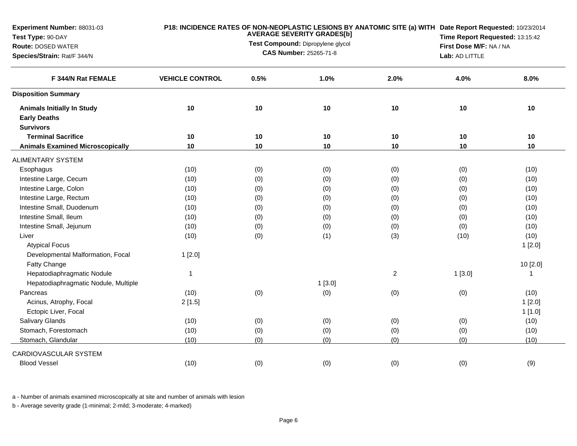| Experiment Number: 88031-03<br>Test Type: 90-DAY |                                   | P18: INCIDENCE RATES OF NON-NEOPLASTIC LESIONS BY ANATOMIC SITE (a) WITH Date Report Requested: 10/23/2014<br><b>AVERAGE SEVERITY GRADES[b]</b> |                               |                         |                | Time Report Requested: 13:15:42                                                                                                                                          |  |  |
|--------------------------------------------------|-----------------------------------|-------------------------------------------------------------------------------------------------------------------------------------------------|-------------------------------|-------------------------|----------------|--------------------------------------------------------------------------------------------------------------------------------------------------------------------------|--|--|
| Route: DOSED WATER                               | Test Compound: Dipropylene glycol |                                                                                                                                                 |                               | First Dose M/F: NA / NA |                |                                                                                                                                                                          |  |  |
| Species/Strain: Rat/F 344/N                      |                                   |                                                                                                                                                 | <b>CAS Number: 25265-71-8</b> |                         | Lab: AD LITTLE | 8.0%<br>10<br>10<br>10<br>(10)<br>(10)<br>(10)<br>(10)<br>(10)<br>(10)<br>(10)<br>(10)<br>1[2.0]<br>10 [2.0]<br>$\mathbf{1}$<br>(10)<br>1[2.0]<br>1[1.0]<br>(10)<br>(10) |  |  |
| F 344/N Rat FEMALE                               | <b>VEHICLE CONTROL</b>            | 0.5%                                                                                                                                            | 1.0%                          | 2.0%                    | 4.0%           |                                                                                                                                                                          |  |  |
| <b>Disposition Summary</b>                       |                                   |                                                                                                                                                 |                               |                         |                |                                                                                                                                                                          |  |  |
| <b>Animals Initially In Study</b>                | 10                                | 10                                                                                                                                              | 10                            | 10                      | 10             |                                                                                                                                                                          |  |  |
| <b>Early Deaths</b>                              |                                   |                                                                                                                                                 |                               |                         |                |                                                                                                                                                                          |  |  |
| <b>Survivors</b>                                 |                                   |                                                                                                                                                 |                               |                         |                |                                                                                                                                                                          |  |  |
| <b>Terminal Sacrifice</b>                        | 10                                | 10                                                                                                                                              | 10                            | 10                      | 10             |                                                                                                                                                                          |  |  |
| <b>Animals Examined Microscopically</b>          | 10                                | 10                                                                                                                                              | 10                            | 10                      | 10             |                                                                                                                                                                          |  |  |
| <b>ALIMENTARY SYSTEM</b>                         |                                   |                                                                                                                                                 |                               |                         |                |                                                                                                                                                                          |  |  |
| Esophagus                                        | (10)                              | (0)                                                                                                                                             | (0)                           | (0)                     | (0)            |                                                                                                                                                                          |  |  |
| Intestine Large, Cecum                           | (10)                              | (0)                                                                                                                                             | (0)                           | (0)                     | (0)            |                                                                                                                                                                          |  |  |
| Intestine Large, Colon                           | (10)                              | (0)                                                                                                                                             | (0)                           | (0)                     | (0)            |                                                                                                                                                                          |  |  |
| Intestine Large, Rectum                          | (10)                              | (0)                                                                                                                                             | (0)                           | (0)                     | (0)            |                                                                                                                                                                          |  |  |
| Intestine Small, Duodenum                        | (10)                              | (0)                                                                                                                                             | (0)                           | (0)                     | (0)            |                                                                                                                                                                          |  |  |
| Intestine Small, Ileum                           | (10)                              | (0)                                                                                                                                             | (0)                           | (0)                     | (0)            |                                                                                                                                                                          |  |  |
| Intestine Small, Jejunum                         | (10)                              | (0)                                                                                                                                             | (0)                           | (0)                     | (0)            |                                                                                                                                                                          |  |  |
| Liver                                            | (10)                              | (0)                                                                                                                                             | (1)                           | (3)                     | (10)           |                                                                                                                                                                          |  |  |
| <b>Atypical Focus</b>                            |                                   |                                                                                                                                                 |                               |                         |                |                                                                                                                                                                          |  |  |
| Developmental Malformation, Focal                | 1[2.0]                            |                                                                                                                                                 |                               |                         |                |                                                                                                                                                                          |  |  |
| Fatty Change                                     |                                   |                                                                                                                                                 |                               |                         |                |                                                                                                                                                                          |  |  |
| Hepatodiaphragmatic Nodule                       | $\mathbf{1}$                      |                                                                                                                                                 |                               | $\overline{c}$          | 1[3.0]         |                                                                                                                                                                          |  |  |
| Hepatodiaphragmatic Nodule, Multiple             |                                   |                                                                                                                                                 | 1[3.0]                        |                         |                |                                                                                                                                                                          |  |  |
| Pancreas                                         | (10)                              | (0)                                                                                                                                             | (0)                           | (0)                     | (0)            |                                                                                                                                                                          |  |  |
| Acinus, Atrophy, Focal                           | 2[1.5]                            |                                                                                                                                                 |                               |                         |                |                                                                                                                                                                          |  |  |
| Ectopic Liver, Focal                             |                                   |                                                                                                                                                 |                               |                         |                |                                                                                                                                                                          |  |  |
| Salivary Glands                                  | (10)                              | (0)                                                                                                                                             | (0)                           | (0)                     | (0)            |                                                                                                                                                                          |  |  |
| Stomach, Forestomach                             | (10)                              | (0)                                                                                                                                             | (0)                           | (0)                     | (0)            |                                                                                                                                                                          |  |  |
| Stomach, Glandular                               | (10)                              | (0)                                                                                                                                             | (0)                           | (0)                     | (0)            | (10)                                                                                                                                                                     |  |  |
| CARDIOVASCULAR SYSTEM                            |                                   |                                                                                                                                                 |                               |                         |                |                                                                                                                                                                          |  |  |
| <b>Blood Vessel</b>                              | (10)                              | (0)                                                                                                                                             | (0)                           | (0)                     | (0)            | (9)                                                                                                                                                                      |  |  |
|                                                  |                                   |                                                                                                                                                 |                               |                         |                |                                                                                                                                                                          |  |  |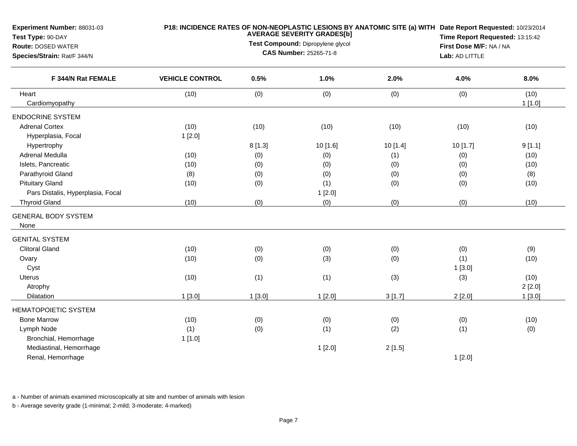| Experiment Number: 88031-03<br>Test Type: 90-DAY<br>Route: DOSED WATER<br>Species/Strain: Rat/F 344/N |                        | P18: INCIDENCE RATES OF NON-NEOPLASTIC LESIONS BY ANATOMIC SITE (a) WITH Date Report Requested: 10/23/2014<br>Time Report Requested: 13:15:42<br>First Dose M/F: NA / NA<br>Lab: AD LITTLE |          |          |          |                |
|-------------------------------------------------------------------------------------------------------|------------------------|--------------------------------------------------------------------------------------------------------------------------------------------------------------------------------------------|----------|----------|----------|----------------|
| F 344/N Rat FEMALE                                                                                    | <b>VEHICLE CONTROL</b> | 0.5%                                                                                                                                                                                       | 1.0%     | 2.0%     | 4.0%     | 8.0%           |
| Heart<br>Cardiomyopathy                                                                               | (10)                   | (0)                                                                                                                                                                                        | (0)      | (0)      | (0)      | (10)<br>1[1.0] |
| <b>ENDOCRINE SYSTEM</b>                                                                               |                        |                                                                                                                                                                                            |          |          |          |                |
| <b>Adrenal Cortex</b><br>Hyperplasia, Focal                                                           | (10)<br>1[2.0]         | (10)                                                                                                                                                                                       | (10)     | (10)     | (10)     | (10)           |
| Hypertrophy                                                                                           |                        | 8[1.3]                                                                                                                                                                                     | 10 [1.6] | 10 [1.4] | 10 [1.7] | 9[1.1]         |
| Adrenal Medulla                                                                                       | (10)                   | (0)                                                                                                                                                                                        | (0)      | (1)      | (0)      | (10)           |
| Islets, Pancreatic                                                                                    | (10)                   | (0)                                                                                                                                                                                        | (0)      | (0)      | (0)      | (10)           |
| Parathyroid Gland                                                                                     | (8)                    | (0)                                                                                                                                                                                        | (0)      | (0)      | (0)      | (8)            |
| <b>Pituitary Gland</b>                                                                                | (10)                   | (0)                                                                                                                                                                                        | (1)      | (0)      | (0)      | (10)           |
| Pars Distalis, Hyperplasia, Focal                                                                     |                        |                                                                                                                                                                                            | 1[2.0]   |          |          |                |
| <b>Thyroid Gland</b>                                                                                  | (10)                   | (0)                                                                                                                                                                                        | (0)      | (0)      | (0)      | (10)           |
| <b>GENERAL BODY SYSTEM</b><br>None                                                                    |                        |                                                                                                                                                                                            |          |          |          |                |
| <b>GENITAL SYSTEM</b>                                                                                 |                        |                                                                                                                                                                                            |          |          |          |                |
| <b>Clitoral Gland</b>                                                                                 | (10)                   | (0)                                                                                                                                                                                        | (0)      | (0)      | (0)      | (9)            |
| Ovary                                                                                                 | (10)                   | (0)                                                                                                                                                                                        | (3)      | (0)      | (1)      | (10)           |
| Cyst                                                                                                  |                        |                                                                                                                                                                                            |          |          | 1[3.0]   |                |
| Uterus                                                                                                | (10)                   | (1)                                                                                                                                                                                        | (1)      | (3)      | (3)      | (10)           |
| Atrophy                                                                                               |                        |                                                                                                                                                                                            |          |          |          | 2[2.0]         |
| Dilatation                                                                                            | 1[3.0]                 | 1[3.0]                                                                                                                                                                                     | 1[2.0]   | 3[1.7]   | 2[2.0]   | 1[3.0]         |
| <b>HEMATOPOIETIC SYSTEM</b>                                                                           |                        |                                                                                                                                                                                            |          |          |          |                |
| <b>Bone Marrow</b>                                                                                    | (10)                   | (0)                                                                                                                                                                                        | (0)      | (0)      | (0)      | (10)           |
| Lymph Node                                                                                            | (1)                    | (0)                                                                                                                                                                                        | (1)      | (2)      | (1)      | (0)            |
| Bronchial, Hemorrhage                                                                                 | 1[1.0]                 |                                                                                                                                                                                            |          |          |          |                |
| Mediastinal, Hemorrhage                                                                               |                        |                                                                                                                                                                                            | 1[2.0]   | 2[1.5]   |          |                |
| Renal, Hemorrhage                                                                                     |                        |                                                                                                                                                                                            |          |          | 1[2.0]   |                |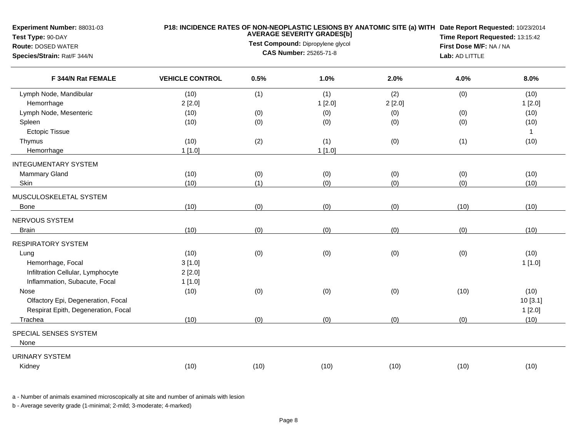| Experiment Number: 88031-03<br>Test Type: 90-DAY  |                        |      | <b>AVERAGE SEVERITY GRADES[b]</b> | P18: INCIDENCE RATES OF NON-NEOPLASTIC LESIONS BY ANATOMIC SITE (a) WITH Date Report Requested: 10/23/2014 | Time Report Requested: 13:15:42 |              |
|---------------------------------------------------|------------------------|------|-----------------------------------|------------------------------------------------------------------------------------------------------------|---------------------------------|--------------|
| <b>Route: DOSED WATER</b>                         |                        |      | Test Compound: Dipropylene glycol |                                                                                                            | First Dose M/F: NA / NA         |              |
| Species/Strain: Rat/F 344/N<br>F 344/N Rat FEMALE |                        |      | <b>CAS Number: 25265-71-8</b>     |                                                                                                            | Lab: AD LITTLE                  |              |
|                                                   | <b>VEHICLE CONTROL</b> | 0.5% | 1.0%                              | 2.0%                                                                                                       | 4.0%                            | 8.0%         |
| Lymph Node, Mandibular                            | (10)                   | (1)  | (1)                               | (2)                                                                                                        | (0)                             | (10)         |
| Hemorrhage                                        | 2[2.0]                 |      | 1[2.0]                            | 2[2.0]                                                                                                     |                                 | 1[2.0]       |
| Lymph Node, Mesenteric                            | (10)                   | (0)  | (0)                               | (0)                                                                                                        | (0)                             | (10)         |
| Spleen                                            | (10)                   | (0)  | (0)                               | (0)                                                                                                        | (0)                             | (10)         |
| <b>Ectopic Tissue</b>                             |                        |      |                                   |                                                                                                            |                                 | $\mathbf{1}$ |
| Thymus                                            | (10)                   | (2)  | (1)                               | (0)                                                                                                        | (1)                             | (10)         |
| Hemorrhage                                        | 1[1.0]                 |      | 1[1.0]                            |                                                                                                            |                                 |              |
| <b>INTEGUMENTARY SYSTEM</b>                       |                        |      |                                   |                                                                                                            |                                 |              |
| Mammary Gland                                     | (10)                   | (0)  | (0)                               | (0)                                                                                                        | (0)                             | (10)         |
| Skin                                              | (10)                   | (1)  | (0)                               | (0)                                                                                                        | (0)                             | (10)         |
| MUSCULOSKELETAL SYSTEM                            |                        |      |                                   |                                                                                                            |                                 |              |
| Bone                                              | (10)                   | (0)  | (0)                               | (0)                                                                                                        | (10)                            | (10)         |
| NERVOUS SYSTEM                                    |                        |      |                                   |                                                                                                            |                                 |              |
| <b>Brain</b>                                      | (10)                   | (0)  | (0)                               | (0)                                                                                                        | (0)                             | (10)         |
| <b>RESPIRATORY SYSTEM</b>                         |                        |      |                                   |                                                                                                            |                                 |              |
| Lung                                              | (10)                   | (0)  | (0)                               | (0)                                                                                                        | (0)                             | (10)         |
| Hemorrhage, Focal                                 | 3[1.0]                 |      |                                   |                                                                                                            |                                 | 1[1.0]       |
| Infiltration Cellular, Lymphocyte                 | 2[2.0]                 |      |                                   |                                                                                                            |                                 |              |
| Inflammation, Subacute, Focal                     | 1[1.0]                 |      |                                   |                                                                                                            |                                 |              |
| Nose                                              | (10)                   | (0)  | (0)                               | (0)                                                                                                        | (10)                            | (10)         |
| Olfactory Epi, Degeneration, Focal                |                        |      |                                   |                                                                                                            |                                 | 10[3.1]      |
| Respirat Epith, Degeneration, Focal               |                        |      |                                   |                                                                                                            |                                 | 1[2.0]       |
| Trachea                                           | (10)                   | (0)  | (0)                               | (0)                                                                                                        | (0)                             | (10)         |
| SPECIAL SENSES SYSTEM                             |                        |      |                                   |                                                                                                            |                                 |              |
| None                                              |                        |      |                                   |                                                                                                            |                                 |              |
| <b>URINARY SYSTEM</b>                             |                        |      |                                   |                                                                                                            |                                 |              |
| Kidney                                            | (10)                   | (10) | (10)                              | (10)                                                                                                       | (10)                            | (10)         |
|                                                   |                        |      |                                   |                                                                                                            |                                 |              |